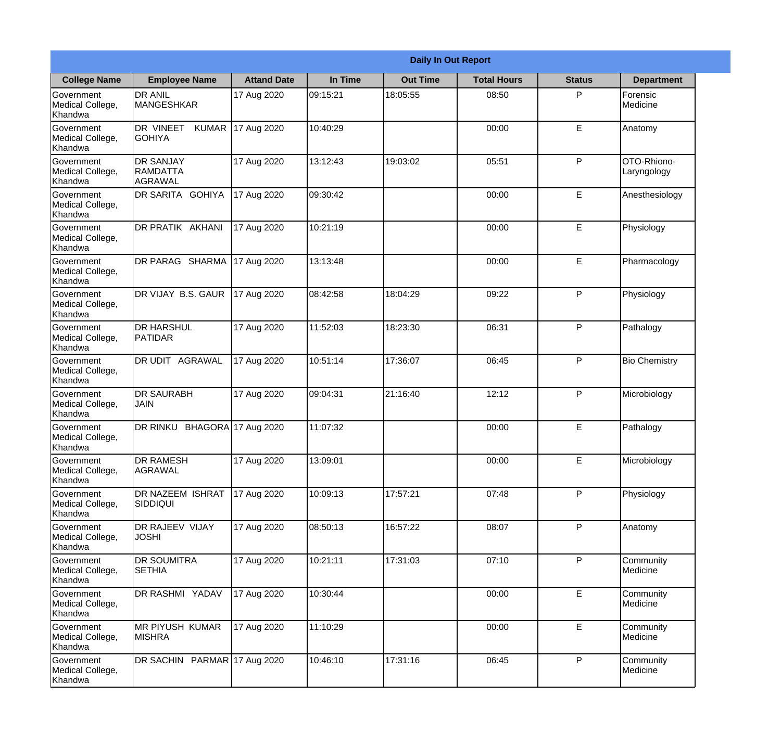|                                                  | <b>Daily In Out Report</b>                     |                     |          |                 |                    |               |                            |  |  |
|--------------------------------------------------|------------------------------------------------|---------------------|----------|-----------------|--------------------|---------------|----------------------------|--|--|
| <b>College Name</b>                              | <b>Employee Name</b>                           | <b>Attand Date</b>  | In Time  | <b>Out Time</b> | <b>Total Hours</b> | <b>Status</b> | <b>Department</b>          |  |  |
| Government<br>Medical College,<br>Khandwa        | <b>DR ANIL</b><br><b>MANGESHKAR</b>            | 17 Aug 2020         | 09:15:21 | 18:05:55        | 08:50              | P             | Forensic<br>Medicine       |  |  |
| Government<br>Medical College,<br>Khandwa        | DR VINEET<br><b>KUMAR</b><br><b>GOHIYA</b>     | 17 Aug 2020         | 10:40:29 |                 | 00:00              | E             | Anatomy                    |  |  |
| Government<br>Medical College,<br>Khandwa        | <b>DR SANJAY</b><br><b>RAMDATTA</b><br>AGRAWAL | 17 Aug 2020         | 13:12:43 | 19:03:02        | 05:51              | P             | OTO-Rhiono-<br>Laryngology |  |  |
| Government<br>Medical College,<br>Khandwa        | DR SARITA GOHIYA                               | 17 Aug 2020         | 09:30:42 |                 | 00:00              | E             | Anesthesiology             |  |  |
| Government<br>Medical College,<br>Khandwa        | DR PRATIK AKHANI                               | 17 Aug 2020         | 10:21:19 |                 | 00:00              | E             | Physiology                 |  |  |
| Government<br>Medical College,<br>Khandwa        | DR PARAG SHARMA                                | 17 Aug 2020         | 13:13:48 |                 | 00:00              | E             | Pharmacology               |  |  |
| Government<br>Medical College,<br>Khandwa        | DR VIJAY B.S. GAUR                             | 17 Aug 2020         | 08:42:58 | 18:04:29        | 09:22              | P             | Physiology                 |  |  |
| Government<br>Medical College,<br>Khandwa        | <b>DR HARSHUL</b><br>PATIDAR                   | 17 Aug 2020         | 11:52:03 | 18:23:30        | 06:31              | P             | Pathalogy                  |  |  |
| <b>Government</b><br>Medical College,<br>Khandwa | <b>DR UDIT AGRAWAL</b>                         | 17 Aug 2020         | 10:51:14 | 17:36:07        | 06:45              | P             | <b>Bio Chemistry</b>       |  |  |
| Government<br>Medical College,<br>Khandwa        | <b>DR SAURABH</b><br><b>JAIN</b>               | 17 Aug 2020         | 09:04:31 | 21:16:40        | 12:12              | P             | Microbiology               |  |  |
| Government<br>Medical College,<br>Khandwa        | DR RINKU                                       | BHAGORA 17 Aug 2020 | 11:07:32 |                 | 00:00              | E             | Pathalogy                  |  |  |
| Government<br>Medical College,<br>Khandwa        | <b>DR RAMESH</b><br>AGRAWAL                    | 17 Aug 2020         | 13:09:01 |                 | 00:00              | E             | Microbiology               |  |  |
| Government<br>Medical College,<br>Khandwa        | <b>DR NAZEEM ISHRAT</b><br>SIDDIQUI            | 17 Aug 2020         | 10:09:13 | 17:57:21        | 07:48              | P             | Physiology                 |  |  |
| Government<br>Medical College,<br>Khandwa        | <b>DR RAJEEV VIJAY</b><br><b>JOSHI</b>         | 17 Aug 2020         | 08:50:13 | 16:57:22        | 08:07              | P             | Anatomy                    |  |  |
| Government<br>Medical College,<br>Khandwa        | <b>DR SOUMITRA</b><br><b>SETHIA</b>            | 17 Aug 2020         | 10:21:11 | 17:31:03        | 07:10              | $\mathsf{P}$  | Community<br>Medicine      |  |  |
| Government<br>Medical College,<br>Khandwa        | DR RASHMI YADAV                                | 17 Aug 2020         | 10:30:44 |                 | 00:00              | E             | Community<br>Medicine      |  |  |
| Government<br>Medical College,<br>Khandwa        | <b>MR PIYUSH KUMAR</b><br><b>MISHRA</b>        | 17 Aug 2020         | 11:10:29 |                 | 00:00              | E             | Community<br>Medicine      |  |  |
| Government<br>Medical College,<br>Khandwa        | DR SACHIN PARMAR 17 Aug 2020                   |                     | 10:46:10 | 17:31:16        | 06:45              | P             | Community<br>Medicine      |  |  |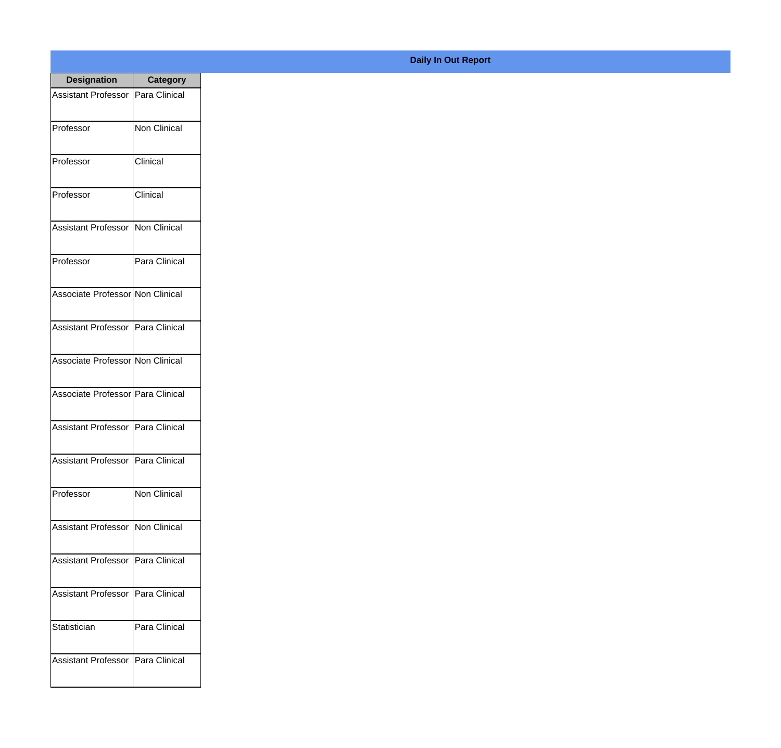| <b>Designation</b>                  | <b>Category</b>     |
|-------------------------------------|---------------------|
| Assistant Professor   Para Clinical |                     |
| Professor                           | <b>Non Clinical</b> |
| Professor                           | Clinical            |
| Professor                           | Clinical            |
| <b>Assistant Professor</b>          | Non Clinical        |
| Professor                           | Para Clinical       |
| Associate Professor Non Clinical    |                     |
| Assistant Professor   Para Clinical |                     |
| Associate Professor Non Clinical    |                     |
| Associate Professor Para Clinical   |                     |
| Assistant Professor                 | Para Clinical       |
| Assistant Professor   Para Clinical |                     |
| Professor                           | <b>Non Clinical</b> |
| Assistant Professor   Non Clinical  |                     |
| Assistant Professor                 | Para Clinical       |
| Assistant Professor                 | Para Clinical       |
| Statistician                        | Para Clinical       |
| <b>Assistant Professor</b>          | Para Clinical       |

## **Daily In Out Report**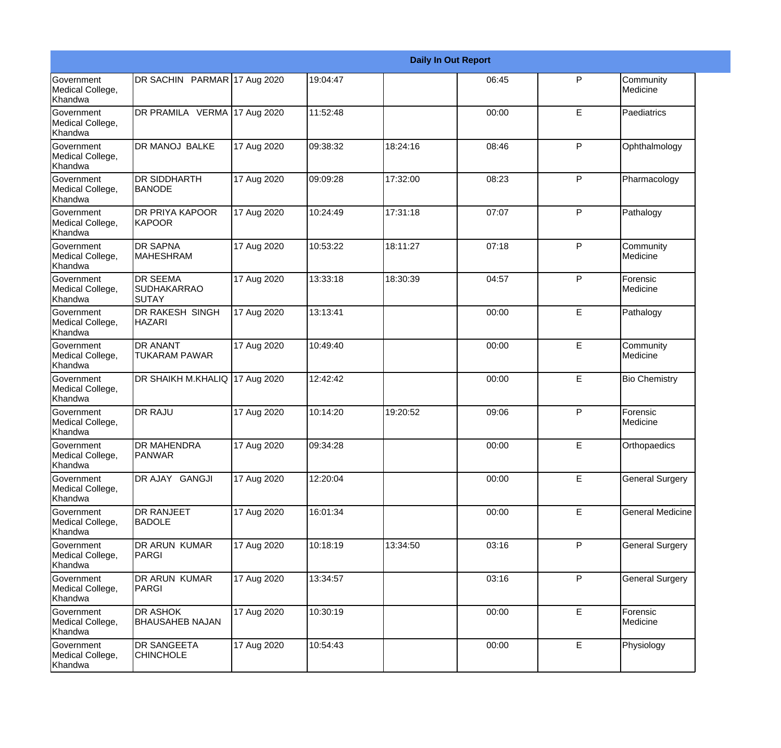|                                                  |                                                 | <b>Daily In Out Report</b> |          |          |       |              |                         |  |
|--------------------------------------------------|-------------------------------------------------|----------------------------|----------|----------|-------|--------------|-------------------------|--|
| Government<br>Medical College,<br>Khandwa        | DR SACHIN PARMAR 17 Aug 2020                    |                            | 19:04:47 |          | 06:45 | P            | Community<br>Medicine   |  |
| <b>Government</b><br>Medical College,<br>Khandwa | DR PRAMILA VERMA 17 Aug 2020                    |                            | 11:52:48 |          | 00:00 | E            | Paediatrics             |  |
| Government<br>Medical College,<br>Khandwa        | DR MANOJ BALKE                                  | 17 Aug 2020                | 09:38:32 | 18:24:16 | 08:46 | P            | Ophthalmology           |  |
| <b>Government</b><br>Medical College,<br>Khandwa | <b>DR SIDDHARTH</b><br><b>BANODE</b>            | 17 Aug 2020                | 09:09:28 | 17:32:00 | 08:23 | P            | Pharmacology            |  |
| Government<br>Medical College,<br>Khandwa        | DR PRIYA KAPOOR<br><b>KAPOOR</b>                | 17 Aug 2020                | 10:24:49 | 17:31:18 | 07:07 | P            | Pathalogy               |  |
| <b>Government</b><br>Medical College,<br>Khandwa | <b>DR SAPNA</b><br><b>MAHESHRAM</b>             | 17 Aug 2020                | 10:53:22 | 18:11:27 | 07:18 | P            | Community<br>Medicine   |  |
| Government<br>Medical College,<br>Khandwa        | <b>DR SEEMA</b><br><b>SUDHAKARRAO</b><br>ISUTAY | 17 Aug 2020                | 13:33:18 | 18:30:39 | 04:57 | P            | Forensic<br>Medicine    |  |
| Government<br>Medical College,<br>Khandwa        | DR RAKESH SINGH<br><b>HAZARI</b>                | 17 Aug 2020                | 13:13:41 |          | 00:00 | E            | Pathalogy               |  |
| <b>Government</b><br>Medical College,<br>Khandwa | DR ANANT<br><b>TUKARAM PAWAR</b>                | 17 Aug 2020                | 10:49:40 |          | 00:00 | E            | Community<br>Medicine   |  |
| <b>Government</b><br>Medical College,<br>Khandwa | DR SHAIKH M.KHALIQ 17 Aug 2020                  |                            | 12:42:42 |          | 00:00 | E            | <b>Bio Chemistry</b>    |  |
| Government<br>Medical College,<br>Khandwa        | <b>DR RAJU</b>                                  | 17 Aug 2020                | 10:14:20 | 19:20:52 | 09:06 | $\mathsf{P}$ | Forensic<br>Medicine    |  |
| Government<br>Medical College,<br>Khandwa        | DR MAHENDRA<br><b>PANWAR</b>                    | 17 Aug 2020                | 09:34:28 |          | 00:00 | E            | Orthopaedics            |  |
| Government<br>Medical College,<br>Khandwa        | DR AJAY GANGJI                                  | 17 Aug 2020                | 12:20:04 |          | 00:00 | E            | <b>General Surgery</b>  |  |
| Government<br>Medical College,<br>Khandwa        | DR RANJEET<br><b>BADOLE</b>                     | 17 Aug 2020                | 16:01:34 |          | 00:00 | E            | <b>General Medicine</b> |  |
| Government<br>Medical College,<br>Khandwa        | DR ARUN KUMAR<br>PARGI                          | 17 Aug 2020                | 10:18:19 | 13:34:50 | 03:16 | P            | <b>General Surgery</b>  |  |
| Government<br>Medical College,<br>Khandwa        | DR ARUN KUMAR<br>PARGI                          | 17 Aug 2020                | 13:34:57 |          | 03:16 | P            | <b>General Surgery</b>  |  |
| Government<br>Medical College,<br>Khandwa        | DR ASHOK<br><b>BHAUSAHEB NAJAN</b>              | 17 Aug 2020                | 10:30:19 |          | 00:00 | E            | Forensic<br>Medicine    |  |
| Government<br>Medical College,<br>Khandwa        | DR SANGEETA<br><b>CHINCHOLE</b>                 | 17 Aug 2020                | 10:54:43 |          | 00:00 | E            | Physiology              |  |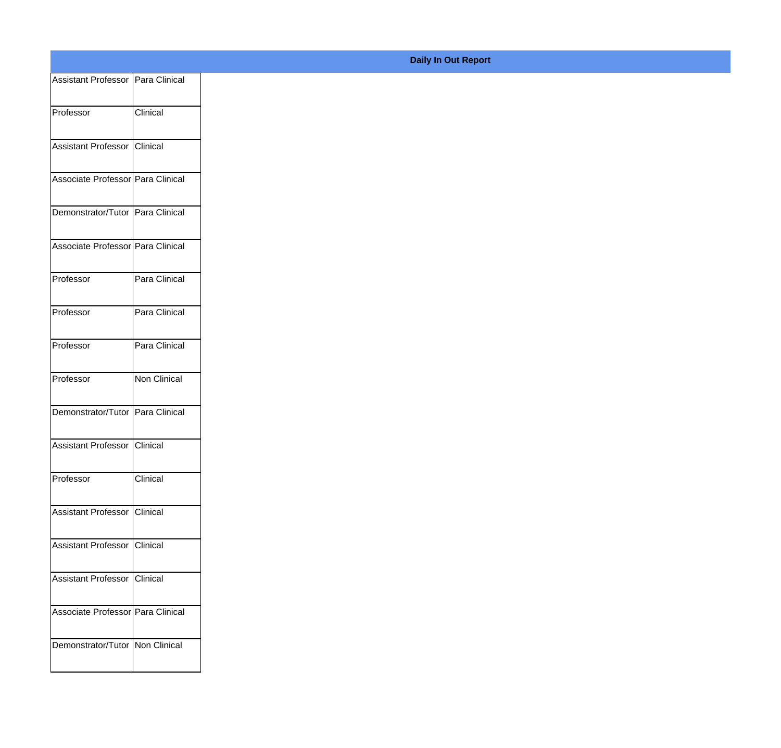| Assistant Professor   Para Clinical |               |
|-------------------------------------|---------------|
| Professor                           | Clinical      |
|                                     |               |
| Assistant Professor Clinical        |               |
| Associate Professor Para Clinical   |               |
| Demonstrator/Tutor Para Clinical    |               |
|                                     |               |
| Associate Professor Para Clinical   |               |
| Professor                           | Para Clinical |
| Professor                           | Para Clinical |
|                                     |               |
| Professor                           | Para Clinical |
| Professor                           | Non Clinical  |
| Demonstrator/Tutor Para Clinical    |               |
|                                     |               |
| Assistant Professor Clinical        |               |
| Professor                           | Clinical      |
| Assistant Professor Clinical        |               |
|                                     |               |
| Assistant Professor Clinical        |               |
| Assistant Professor Clinical        |               |
| Associate Professor Para Clinical   |               |
|                                     |               |
| Demonstrator/Tutor Non Clinical     |               |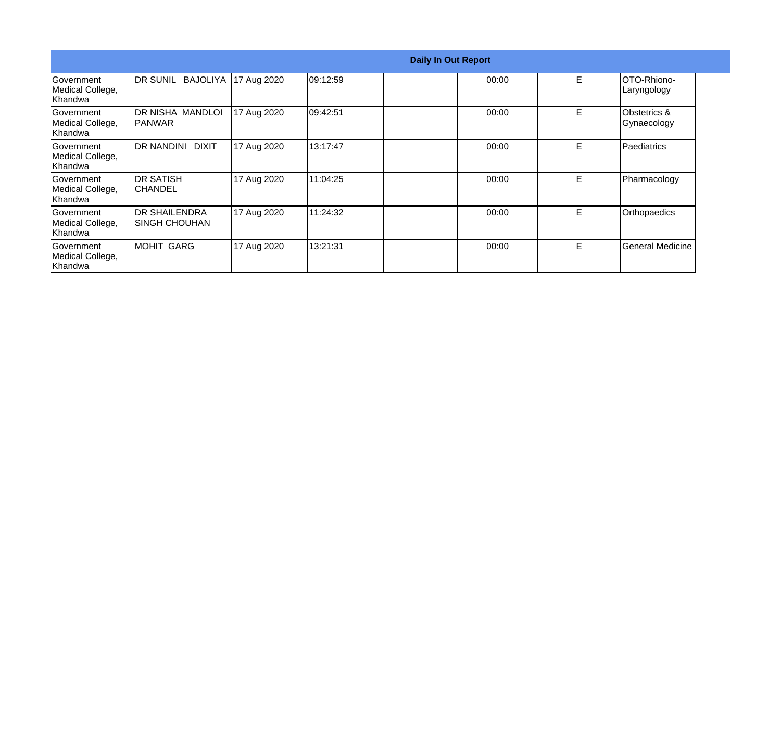|                                                  |                                         |             |          | <b>Daily In Out Report</b> |       |    |                             |
|--------------------------------------------------|-----------------------------------------|-------------|----------|----------------------------|-------|----|-----------------------------|
| Government<br>Medical College,<br>Khandwa        | BAJOLIYA<br><b>IDR SUNIL</b>            | 17 Aug 2020 | 09:12:59 |                            | 00:00 | E  | OTO-Rhiono-<br>Laryngology  |
| Government<br>Medical College,<br>Khandwa        | DR NISHA MANDLOI<br><b>IPANWAR</b>      | 17 Aug 2020 | 09:42:51 |                            | 00:00 | E  | Obstetrics &<br>Gynaecology |
| Government<br>Medical College,<br>Khandwa        | DR NANDINI DIXIT                        | 17 Aug 2020 | 13:17:47 |                            | 00:00 | E  | Paediatrics                 |
| <b>Sovernment</b><br>Medical College,<br>Khandwa | <b>DR SATISH</b><br>ICHANDEL            | 17 Aug 2020 | 11:04:25 |                            | 00:00 | E. | Pharmacology                |
| <b>Government</b><br>Medical College,<br>Khandwa | <b>IDR SHAILENDRA</b><br>ISINGH CHOUHAN | 17 Aug 2020 | 11:24:32 |                            | 00:00 | E  | Orthopaedics                |
| <b>Government</b><br>Medical College,<br>Khandwa | <b>MOHIT GARG</b>                       | 17 Aug 2020 | 13:21:31 |                            | 00:00 | E  | <b>General Medicine</b>     |